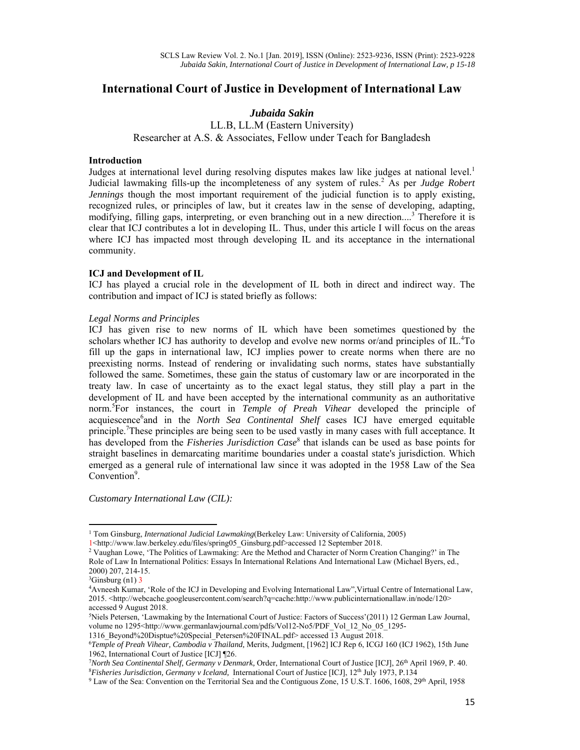# **International Court of Justice in Development of International Law**

#### *Jubaida Sakin*

LL.B, LL.M (Eastern University) Researcher at A.S. & Associates, Fellow under Teach for Bangladesh

#### **Introduction**

Judges at international level during resolving disputes makes law like judges at national level.<sup>1</sup> Judicial lawmaking fills-up the incompleteness of any system of rules.<sup>2</sup> As per *Judge Robert Jennings* though the most important requirement of the judicial function is to apply existing, recognized rules, or principles of law, but it creates law in the sense of developing, adapting, modifying, filling gaps, interpreting, or even branching out in a new direction....<sup>3</sup> Therefore it is clear that ICJ contributes a lot in developing IL. Thus, under this article I will focus on the areas where ICJ has impacted most through developing IL and its acceptance in the international community.

#### **ICJ and Development of IL**

ICJ has played a crucial role in the development of IL both in direct and indirect way. The contribution and impact of ICJ is stated briefly as follows:

### *Legal Norms and Principles*

ICJ has given rise to new norms of IL which have been sometimes questioned by the scholars whether ICJ has authority to develop and evolve new norms or/and principles of IL.<sup>4</sup>To fill up the gaps in international law, ICJ implies power to create norms when there are no preexisting norms. Instead of rendering or invalidating such norms, states have substantially followed the same. Sometimes, these gain the status of customary law or are incorporated in the treaty law. In case of uncertainty as to the exact legal status, they still play a part in the development of IL and have been accepted by the international community as an authoritative norm.<sup>5</sup> For instances, the court in *Temple of Preah Vihear* developed the principle of acquiescence<sup>6</sup>and in the *North Sea Continental Shelf* cases ICJ have emerged equitable principle.<sup>7</sup>These principles are being seen to be used vastly in many cases with full acceptance. It has developed from the *Fisheries Jurisdiction Case*<sup>8</sup> that islands can be used as base points for straight baselines in demarcating maritime boundaries under a coastal state's jurisdiction. Which emerged as a general rule of international law since it was adopted in the 1958 Law of the Sea Convention<sup>9</sup>.

*Customary International Law (CIL):* 

1316\_Beyond%20Disptue%20Special\_Petersen%20FINAL.pdf> accessed 13 August 2018. 6

<sup>&</sup>lt;sup>1</sup> Tom Ginsburg, *International Judicial Lawmaking*(Berkeley Law: University of California, 2005)

<sup>1&</sup>lt;http://www.law.berkeley.edu/files/spring05\_Ginsburg.pdf>accessed 12 September 2018. 2

<sup>&</sup>lt;sup>2</sup> Vaughan Lowe, 'The Politics of Lawmaking: Are the Method and Character of Norm Creation Changing?' in The Role of Law In International Politics: Essays In International Relations And International Law (Michael Byers, ed., 2000) 207, 214-15.

 $3$ Ginsburg (n1) 3

<sup>4</sup> Avneesh Kumar, 'Role of the ICJ in Developing and Evolving International Law",Virtual Centre of International Law, 2015. <http://webcache.googleusercontent.com/search?q=cache:http://www.publicinternationallaw.in/node/120> accessed 9 August 2018.

<sup>5</sup> Niels Petersen, 'Lawmaking by the International Court of Justice: Factors of Succes*s*'(2011) 12 German Law Journal, volume no 1295<http://www.germanlawjournal.com/pdfs/Vol12-No5/PDF\_Vol\_12\_No\_05\_1295-

*Temple of Preah Vihear, Cambodia v Thailand,* Merits, Judgment, [1962] ICJ Rep 6, ICGJ 160 (ICJ 1962), 15th June 1962, International Court of Justice [ICJ] ¶26.

<sup>&</sup>lt;sup>7</sup> North Sea Continental Shelf, Germany v Denmark, Order, International Court of Justice [ICJ], 26<sup>th</sup> April 1969, P. 40.<br><sup>8</sup> Eisheries Jurisdiction, Germany y Iceland, International Court of Justice HCH, 12th July 1973, *Fisheries Jurisdiction, Germany v Iceland,* International Court of Justice [ICJ], 12th July 1973, P*.*134 9

<sup>&</sup>lt;sup>9</sup> Law of the Sea: Convention on the Territorial Sea and the Contiguous Zone, 15 U.S.T. 1606, 1608, 29<sup>th</sup> April, 1958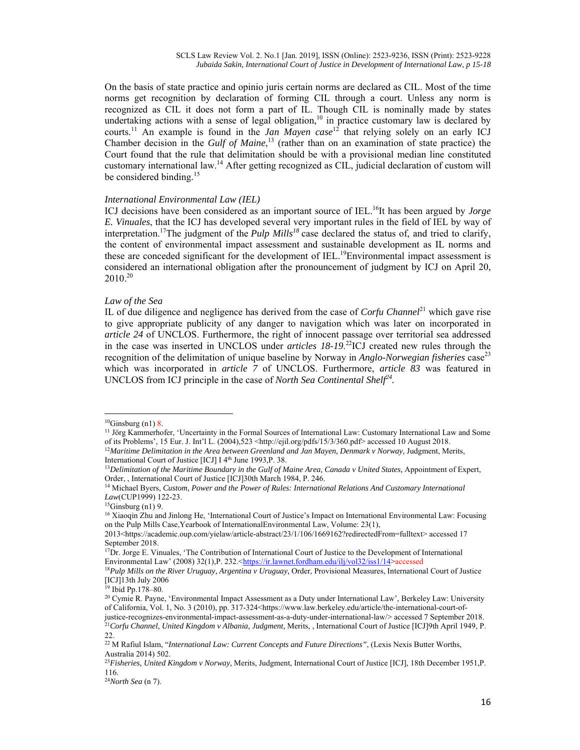On the basis of state practice and opinio juris certain norms are declared as CIL. Most of the time norms get recognition by declaration of forming CIL through a court. Unless any norm is recognized as CIL it does not form a part of IL. Though CIL is nominally made by states undertaking actions with a sense of legal obligation,<sup>10</sup> in practice customary law is declared by courts.<sup>11</sup> An example is found in the *Jan Mayen case*<sup>12</sup> that relying solely on an early ICJ Chamber decision in the *Gulf of Maine*, 13 (rather than on an examination of state practice) the Court found that the rule that delimitation should be with a provisional median line constituted customary international law.14 After getting recognized as CIL, judicial declaration of custom will be considered binding.<sup>15</sup>

#### *International Environmental Law (IEL)*

ICJ decisions have been considered as an important source of IEL.<sup>16</sup>It has been argued by *Jorge E. Vinuales*, that the ICJ has developed several very important rules in the field of IEL by way of interpretation.17The judgment of the *Pulp Mills<sup>18</sup>* case declared the status of, and tried to clarify, the content of environmental impact assessment and sustainable development as IL norms and these are conceded significant for the development of IEL.<sup>19</sup>Environmental impact assessment is considered an international obligation after the pronouncement of judgment by ICJ on April 20,  $2010^{20}$ 

#### *Law of the Sea*

IL of due diligence and negligence has derived from the case of *Corfu Channel*21 which gave rise to give appropriate publicity of any danger to navigation which was later on incorporated in *article 24* of UNCLOS. Furthermore, the right of innocent passage over territorial sea addressed in the case was inserted in UNCLOS under *articles 18-19*. 22ICJ created new rules through the recognition of the delimitation of unique baseline by Norway in *Anglo-Norwegian fisheries* case<sup>23</sup> which was incorporated in *article 7* of UNCLOS. Furthermore, *article 83* was featured in UNCLOS from ICJ principle in the case of *North Sea Continental Shelf24.*

<sup>&</sup>lt;sup>10</sup>Ginsburg (n1) 8.<br><sup>11</sup> Jörg Kammerhofer, 'Uncertainty in the Formal Sources of International Law: Customary International Law and Some of its Problems', 15 Eur. J. Int'l L. (2004),523 <http://ejil.org/pdfs/15/3/360.pdf> accessed 10 August 2018. <sup>12</sup>Maritime Delimitation in the Area between Greenland and Jan Mayen, Denmark v Norway, Judgment, Merits,

International Court of Justice [ICJ] I 4<sup>th</sup> June 1993,P. 38.<br><sup>13</sup>Delimitation of the Maritime Boundary in the Gulf of Maine Area, Canada v United States, Appointment of Expert,

Order, , International Court of Justice [ICJ]30th March 1984, P. 246.<br><sup>14</sup> Michael Byers, *Custom, Power and the Power of Rules: International Relations And Customary International* 

*Law*(CUP1999) 122-23.<br><sup>15</sup>Ginsburg (n1) 9.

<sup>16</sup> Xiaoqin Zhu and Jinlong He, 'International Court of Justice's Impact on International Environmental Law: Focusing on the Pulp Mills Case,Yearbook of InternationalEnvironmental Law, Volume: 23(1),

<sup>2013&</sup>lt;https://academic.oup.com/yielaw/article-abstract/23/1/106/1669162?redirectedFrom=fulltext> accessed 17 September 2018.

<sup>&</sup>lt;sup>17</sup>Dr. Jorge E. Vinuales, 'The Contribution of International Court of Justice to the Development of International Environmental Law' (2008) 32(1),P. 232.<https://ir.lawnet.fordham.edu/ilj/vol32/iss1/14>accessed <sup>18</sup>*Pulp Mills on the River Uruguay, Argentina v Uruguay, Order, Provisional Measures, International Court of Justice* 

<sup>[</sup>ICJ]13th July 2006

<sup>19</sup> Ibid Pp.178–80.

<sup>&</sup>lt;sup>20</sup> Cymie R. Payne, 'Environmental Impact Assessment as a Duty under International Law', Berkeley Law: University of California, Vol. 1, No. 3 (2010), pp. 317-324<https://www.law.berkeley.edu/article/the-international-court-ofjustice-recognizes-environmental-impact-assessment-as-a-duty-under-international-law/> accessed 7 September 2018.<br><sup>21</sup>Corfu Channel, United Kingdom v Albania, Judgment, Merits, , International Court of Justice [ICJ]9th Apr 22.

<sup>&</sup>lt;sup>22</sup> M Rafiul Islam, "*International Law: Current Concepts and Future Directions*", (Lexis Nexis Butter Worths, Australia 2014) 502.

<sup>23</sup>*Fisheries, United Kingdom v Norway,* Merits, Judgment, International Court of Justice [ICJ], 18th December 1951,P. 116.

<sup>24</sup>*North Sea* (n 7).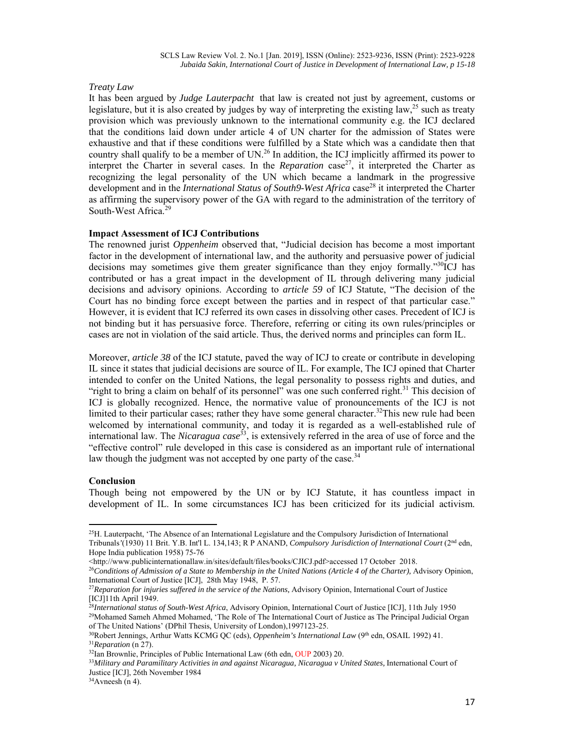#### *Treaty Law*

It has been argued by *Judge Lauterpacht* that law is created not just by agreement, customs or legislature, but it is also created by judges by way of interpreting the existing law,<sup>25</sup> such as treaty provision which was previously unknown to the international community e.g. the ICJ declared that the conditions laid down under article 4 of UN charter for the admission of States were exhaustive and that if these conditions were fulfilled by a State which was a candidate then that country shall qualify to be a member of UN.<sup>26</sup> In addition, the ICJ implicitly affirmed its power to interpret the Charter in several cases. In the *Reparation* case<sup>27</sup>, it interpreted the Charter as recognizing the legal personality of the UN which became a landmark in the progressive development and in the *International Status of South9-West Africa* case<sup>28</sup> it interpreted the Charter as affirming the supervisory power of the GA with regard to the administration of the territory of South-West Africa.<sup>29</sup>

## **Impact Assessment of ICJ Contributions**

The renowned jurist *Oppenheim* observed that, "Judicial decision has become a most important factor in the development of international law, and the authority and persuasive power of judicial decisions may sometimes give them greater significance than they enjoy formally." $30^{\circ}$ ICJ has contributed or has a great impact in the development of IL through delivering many judicial decisions and advisory opinions. According to *article 59* of ICJ Statute, "The decision of the Court has no binding force except between the parties and in respect of that particular case." However, it is evident that ICJ referred its own cases in dissolving other cases. Precedent of ICJ is not binding but it has persuasive force. Therefore, referring or citing its own rules/principles or cases are not in violation of the said article. Thus, the derived norms and principles can form IL.

Moreover, *article 38* of the ICJ statute, paved the way of ICJ to create or contribute in developing IL since it states that judicial decisions are source of IL. For example, The ICJ opined that Charter intended to confer on the United Nations, the legal personality to possess rights and duties, and "right to bring a claim on behalf of its personnel" was one such conferred right.<sup>31</sup> This decision of ICJ is globally recognized. Hence, the normative value of pronouncements of the ICJ is not limited to their particular cases; rather they have some general character.<sup>32</sup>This new rule had been welcomed by international community, and today it is regarded as a well-established rule of international law. The *Nicaragua case*33, is extensively referred in the area of use of force and the "effective control" rule developed in this case is considered as an important rule of international law though the judgment was not accepted by one party of the case. $34$ 

#### **Conclusion**

Though being not empowered by the UN or by ICJ Statute, it has countless impact in development of IL. In some circumstances ICJ has been criticized for its judicial activism.

<sup>&</sup>lt;sup>25</sup>H. Lauterpacht, 'The Absence of an International Legislature and the Compulsory Jurisdiction of International Tribunals*'*(1930) 11 Brit. Y.B. Int'l L. 134,143; R P ANAND, *Compulsory Jurisdiction of International Court* (2nd edn, Hope India publication 1958) 75-76

<sup>&</sup>lt;http://www.publicinternationallaw.in/sites/default/files/books/CJICJ.pdf>accessed 17 October 2018.<br><sup>26</sup>Conditions of Admission of a State to Membership in the United Nations (Article 4 of the Charter), Advisory Opinion, International Court of Justice [ICJ], 28th May 1948, P. 57.

<sup>27</sup>*Reparation for injuries suffered in the service of the Nations,* Advisory Opinion, International Court of Justice [ICJ]11th April 1949.

<sup>&</sup>lt;sup>28</sup>International status of South-West Africa, Advisory Opinion, International Court of Justice [ICJ], 11th July 1950<br><sup>29</sup>Mohamed Sameh Ahmed Mohamed, 'The Role of The International Court of Justice as The Principal Judici

of The United Nations' (DPhil Thesis, University of London),1997123-25.<br><sup>30</sup>Robert Jennings, Arthur Watts KCMG QC (eds), *Oppenheim's International Law* (9<sup>th</sup> edn, OSAIL 1992) 41.<br><sup>31</sup>*Reparation* (n 27).<br><sup>32</sup>Ian Brownlie

<sup>33</sup>*Military and Paramilitary Activities in and against Nicaragua, Nicaragua v United States,* International Court of Justice [ICJ], 26th November 1984

 $34$ Avneesh (n 4).